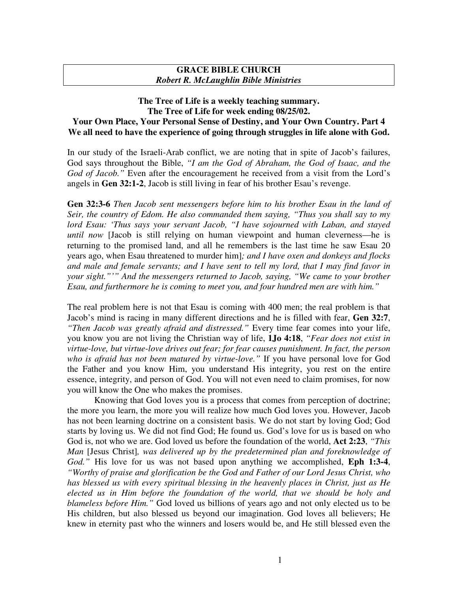## **GRACE BIBLE CHURCH** *Robert R. McLaughlin Bible Ministries*

## **The Tree of Life is a weekly teaching summary. The Tree of Life for week ending 08/25/02. Your Own Place, Your Personal Sense of Destiny, and Your Own Country. Part 4 We all need to have the experience of going through struggles in life alone with God.**

In our study of the Israeli-Arab conflict, we are noting that in spite of Jacob's failures, God says throughout the Bible, *"I am the God of Abraham, the God of Isaac, and the God of Jacob."* Even after the encouragement he received from a visit from the Lord's angels in **Gen 32:1-2**, Jacob is still living in fear of his brother Esau's revenge.

**Gen 32:3-6** *Then Jacob sent messengers before him to his brother Esau in the land of Seir, the country of Edom. He also commanded them saying, "Thus you shall say to my lord Esau: 'Thus says your servant Jacob, "I have sojourned with Laban, and stayed until now* [Jacob is still relying on human viewpoint and human cleverness—he is returning to the promised land, and all he remembers is the last time he saw Esau 20 years ago, when Esau threatened to murder him]*; and I have oxen and donkeys and flocks and male and female servants; and I have sent to tell my lord, that I may find favor in your sight."'" And the messengers returned to Jacob, saying, "We came to your brother Esau, and furthermore he is coming to meet you, and four hundred men are with him."*

The real problem here is not that Esau is coming with 400 men; the real problem is that Jacob's mind is racing in many different directions and he is filled with fear, **Gen 32:7**, *"Then Jacob was greatly afraid and distressed."* Every time fear comes into your life, you know you are not living the Christian way of life, **1Jo 4:18**, *"Fear does not exist in virtue-love, but virtue-love drives out fear; for fear causes punishment. In fact, the person who is afraid has not been matured by virtue-love."* If you have personal love for God the Father and you know Him, you understand His integrity, you rest on the entire essence, integrity, and person of God. You will not even need to claim promises, for now you will know the One who makes the promises.

Knowing that God loves you is a process that comes from perception of doctrine; the more you learn, the more you will realize how much God loves you. However, Jacob has not been learning doctrine on a consistent basis. We do not start by loving God; God starts by loving us. We did not find God; He found us. God's love for us is based on who God is, not who we are. God loved us before the foundation of the world, **Act 2:23**, *"This Man* [Jesus Christ]*, was delivered up by the predetermined plan and foreknowledge of God."* His love for us was not based upon anything we accomplished, **Eph 1:3-4**, *"Worthy of praise and glorification be the God and Father of our Lord Jesus Christ, who has blessed us with every spiritual blessing in the heavenly places in Christ, just as He elected us in Him before the foundation of the world, that we should be holy and blameless before Him."* God loved us billions of years ago and not only elected us to be His children, but also blessed us beyond our imagination. God loves all believers; He knew in eternity past who the winners and losers would be, and He still blessed even the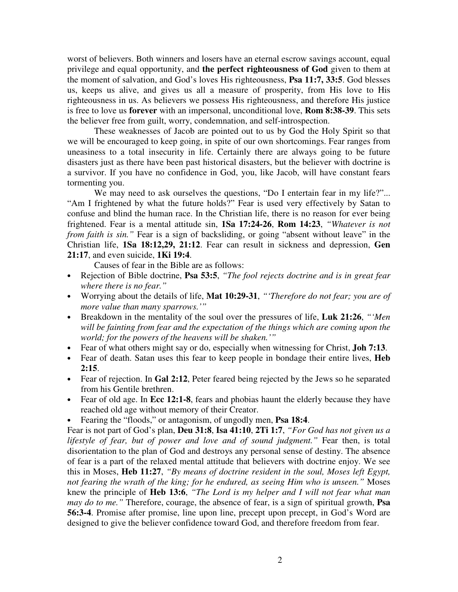worst of believers. Both winners and losers have an eternal escrow savings account, equal privilege and equal opportunity, and **the perfect righteousness of God** given to them at the moment of salvation, and God's loves His righteousness, **Psa 11:7, 33:5**. God blesses us, keeps us alive, and gives us all a measure of prosperity, from His love to His righteousness in us. As believers we possess His righteousness, and therefore His justice is free to love us **forever** with an impersonal, unconditional love, **Rom 8:38-39**. This sets the believer free from guilt, worry, condemnation, and self-introspection.

These weaknesses of Jacob are pointed out to us by God the Holy Spirit so that we will be encouraged to keep going, in spite of our own shortcomings. Fear ranges from uneasiness to a total insecurity in life. Certainly there are always going to be future disasters just as there have been past historical disasters, but the believer with doctrine is a survivor. If you have no confidence in God, you, like Jacob, will have constant fears tormenting you.

We may need to ask ourselves the questions, "Do I entertain fear in my life?"... "Am I frightened by what the future holds?" Fear is used very effectively by Satan to confuse and blind the human race. In the Christian life, there is no reason for ever being frightened. Fear is a mental attitude sin, **1Sa 17:24-26**, **Rom 14:23**, *"Whatever is not from faith is sin."* Fear is a sign of backsliding, or going "absent without leave" in the Christian life, **1Sa 18:12,29, 21:12**. Fear can result in sickness and depression, **Gen 21:17**, and even suicide, **1Ki 19:4**.

Causes of fear in the Bible are as follows:

- Rejection of Bible doctrine, **Psa 53:5**, *"The fool rejects doctrine and is in great fear where there is no fear."*
- Worrying about the details of life, **Mat 10:29-31**, *"'Therefore do not fear; you are of more value than many sparrows.'"*
- Breakdown in the mentality of the soul over the pressures of life, **Luk 21:26**, *"'Men will be fainting from fear and the expectation of the things which are coming upon the world; for the powers of the heavens will be shaken.'"*
- Fear of what others might say or do, especially when witnessing for Christ, **Joh 7:13**.
- Fear of death. Satan uses this fear to keep people in bondage their entire lives, **Heb 2:15**.
- Fear of rejection. In **Gal 2:12**, Peter feared being rejected by the Jews so he separated from his Gentile brethren.
- Fear of old age. In **Ecc 12:1-8**, fears and phobias haunt the elderly because they have reached old age without memory of their Creator.
- Fearing the "floods," or antagonism, of ungodly men, **Psa 18:4**.

Fear is not part of God's plan, **Deu 31:8**, **Isa 41:10**, **2Ti 1:7**, *"For God has not given us a lifestyle of fear, but of power and love and of sound judgment."* Fear then, is total disorientation to the plan of God and destroys any personal sense of destiny. The absence of fear is a part of the relaxed mental attitude that believers with doctrine enjoy. We see this in Moses, **Heb 11:27**, *"By means of doctrine resident in the soul, Moses left Egypt, not fearing the wrath of the king; for he endured, as seeing Him who is unseen."* Moses knew the principle of **Heb 13:6**, *"The Lord is my helper and I will not fear what man may do to me."* Therefore, courage, the absence of fear, is a sign of spiritual growth, **Psa 56:3-4**. Promise after promise, line upon line, precept upon precept, in God's Word are designed to give the believer confidence toward God, and therefore freedom from fear.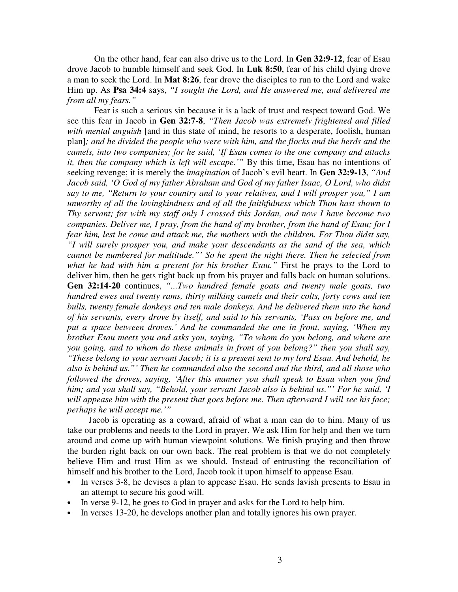On the other hand, fear can also drive us to the Lord. In **Gen 32:9-12**, fear of Esau drove Jacob to humble himself and seek God. In **Luk 8:50**, fear of his child dying drove a man to seek the Lord. In **Mat 8:26**, fear drove the disciples to run to the Lord and wake Him up. As **Psa 34:4** says, *"I sought the Lord, and He answered me, and delivered me from all my fears."*

Fear is such a serious sin because it is a lack of trust and respect toward God. We see this fear in Jacob in **Gen 32:7-8**, *"Then Jacob was extremely frightened and filled with mental anguish* [and in this state of mind, he resorts to a desperate, foolish, human plan]*; and he divided the people who were with him, and the flocks and the herds and the camels, into two companies; for he said, 'If Esau comes to the one company and attacks it, then the company which is left will escape.'"* By this time, Esau has no intentions of seeking revenge; it is merely the *imagination* of Jacob's evil heart. In **Gen 32:9-13**, *"And Jacob said, 'O God of my father Abraham and God of my father Isaac, O Lord, who didst say to me, "Return to your country and to your relatives, and I will prosper you," I am unworthy of all the lovingkindness and of all the faithfulness which Thou hast shown to Thy servant; for with my staff only I crossed this Jordan, and now I have become two companies. Deliver me, I pray, from the hand of my brother, from the hand of Esau; for I fear him, lest he come and attack me, the mothers with the children. For Thou didst say, "I will surely prosper you, and make your descendants as the sand of the sea, which cannot be numbered for multitude."' So he spent the night there. Then he selected from what he had with him a present for his brother Esau."* First he prays to the Lord to deliver him, then he gets right back up from his prayer and falls back on human solutions. **Gen 32:14-20** continues, *"...Two hundred female goats and twenty male goats, two hundred ewes and twenty rams, thirty milking camels and their colts, forty cows and ten bulls, twenty female donkeys and ten male donkeys. And he delivered them into the hand of his servants, every drove by itself, and said to his servants, 'Pass on before me, and put a space between droves.' And he commanded the one in front, saying, 'When my brother Esau meets you and asks you, saying, "To whom do you belong, and where are you going, and to whom do these animals in front of you belong?" then you shall say, "These belong to your servant Jacob; it is a present sent to my lord Esau. And behold, he also is behind us."' Then he commanded also the second and the third, and all those who followed the droves, saying, 'After this manner you shall speak to Esau when you find him; and you shall say, "Behold, your servant Jacob also is behind us."' For he said, 'I will appease him with the present that goes before me. Then afterward I will see his face; perhaps he will accept me.'"*

Jacob is operating as a coward, afraid of what a man can do to him. Many of us take our problems and needs to the Lord in prayer. We ask Him for help and then we turn around and come up with human viewpoint solutions. We finish praying and then throw the burden right back on our own back. The real problem is that we do not completely believe Him and trust Him as we should. Instead of entrusting the reconciliation of himself and his brother to the Lord, Jacob took it upon himself to appease Esau.

- In verses 3-8, he devises a plan to appease Esau. He sends lavish presents to Esau in an attempt to secure his good will.
- In verse 9-12, he goes to God in prayer and asks for the Lord to help him.
- In verses 13-20, he develops another plan and totally ignores his own prayer.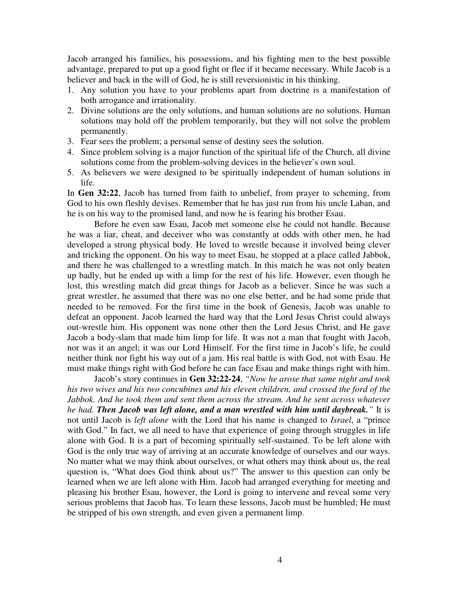Jacob arranged his families, his possessions, and his fighting men to the best possible advantage, prepared to put up a good fight or flee if it became necessary. While Jacob is a believer and back in the will of God, he is still reversionistic in his thinking.

- 1. Any solution you have to your problems apart from doctrine is a manifestation of both arrogance and irrationality.
- 2. Divine solutions are the only solutions, and human solutions are no solutions. Human solutions may hold off the problem temporarily, but they will not solve the problem permanently.
- 3. Fear sees the problem; a personal sense of destiny sees the solution.
- 4. Since problem solving is a major function of the spiritual life of the Church, all divine solutions come from the problem-solving devices in the believer's own soul.
- 5. As believers we were designed to be spiritually independent of human solutions in life.

In **Gen 32:22**, Jacob has turned from faith to unbelief, from prayer to scheming, from God to his own fleshly devises. Remember that he has just run from his uncle Laban, and he is on his way to the promised land, and now he is fearing his brother Esau.

Before he even saw Esau, Jacob met someone else he could not handle. Because he was a liar, cheat, and deceiver who was constantly at odds with other men, he had developed a strong physical body. He loved to wrestle because it involved being clever and tricking the opponent. On his way to meet Esau, he stopped at a place called Jabbok, and there he was challenged to a wrestling match. In this match he was not only beaten up badly, but he ended up with a limp for the rest of his life. However, even though he lost, this wrestling match did great things for Jacob as a believer. Since he was such a great wrestler, he assumed that there was no one else better, and he had some pride that needed to be removed. For the first time in the book of Genesis, Jacob was unable to defeat an opponent. Jacob learned the hard way that the Lord Jesus Christ could always out-wrestle him. His opponent was none other then the Lord Jesus Christ, and He gave Jacob a body-slam that made him limp for life. It was not a man that fought with Jacob, nor was it an angel; it was our Lord Himself. For the first time in Jacob's life, he could neither think nor fight his way out of a jam. His real battle is with God, not with Esau. He must make things right with God before he can face Esau and make things right with him.

Jacob's story continues in **Gen 32:22-24**, *"Now he arose that same night and took his two wives and his two concubines and his eleven children, and crossed the ford of the Jabbok. And he took them and sent them across the stream. And he sent across whatever he had. Then Jacob was left alone, and a man wrestled with him until daybreak."* It is not until Jacob is *left alone* with the Lord that his name is changed to *Israel*, a "prince with God." In fact, we all need to have that experience of going through struggles in life alone with God. It is a part of becoming spiritually self-sustained. To be left alone with God is the only true way of arriving at an accurate knowledge of ourselves and our ways. No matter what we may think about ourselves, or what others may think about us, the real question is, "What does God think about us?" The answer to this question can only be learned when we are left alone with Him. Jacob had arranged everything for meeting and pleasing his brother Esau, however, the Lord is going to intervene and reveal some very serious problems that Jacob has. To learn these lessons, Jacob must be humbled; He must be stripped of his own strength, and even given a permanent limp.